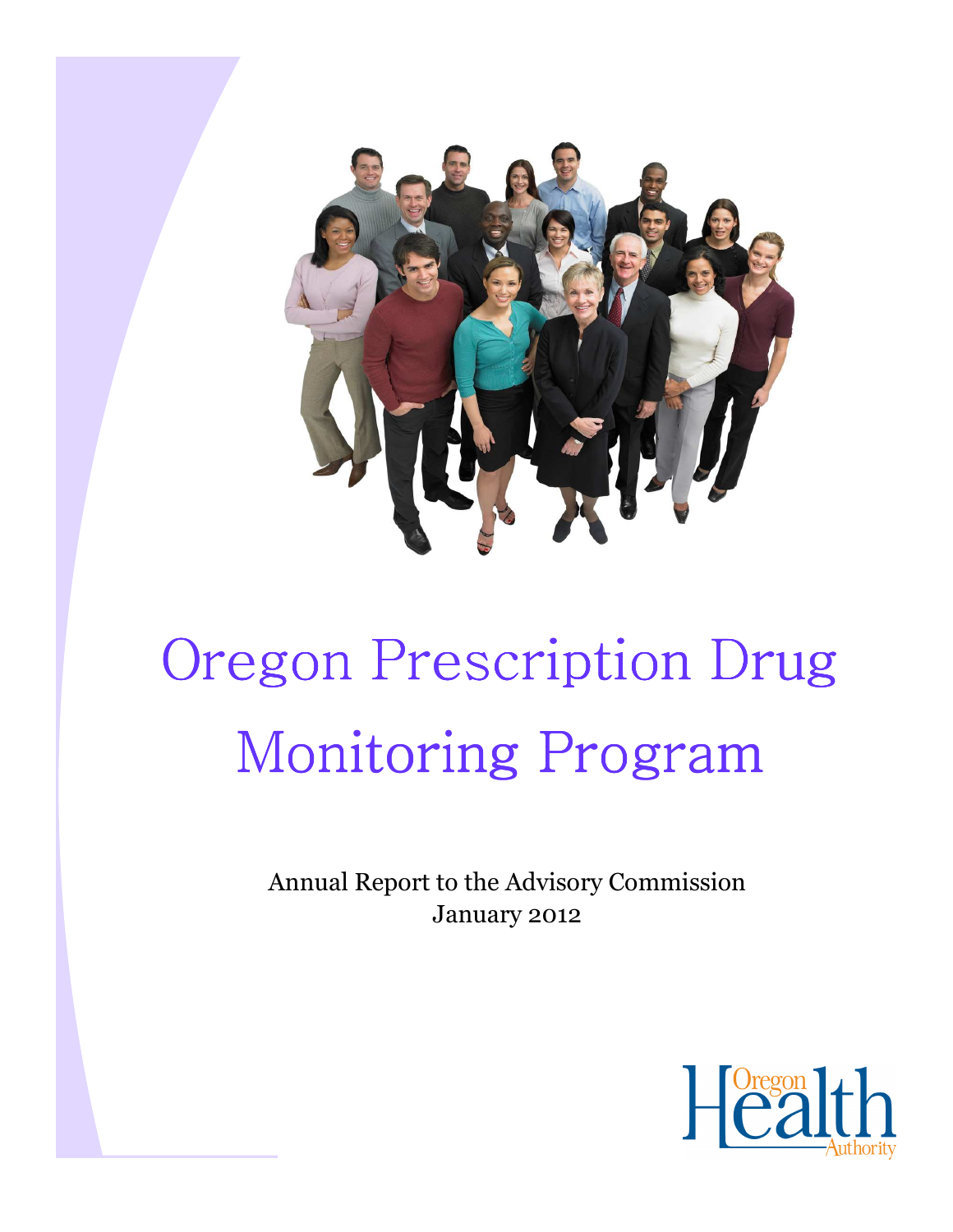

# Oregon Prescription Drug Monitoring Program

Annual Report to the Advisory Commission January 2012

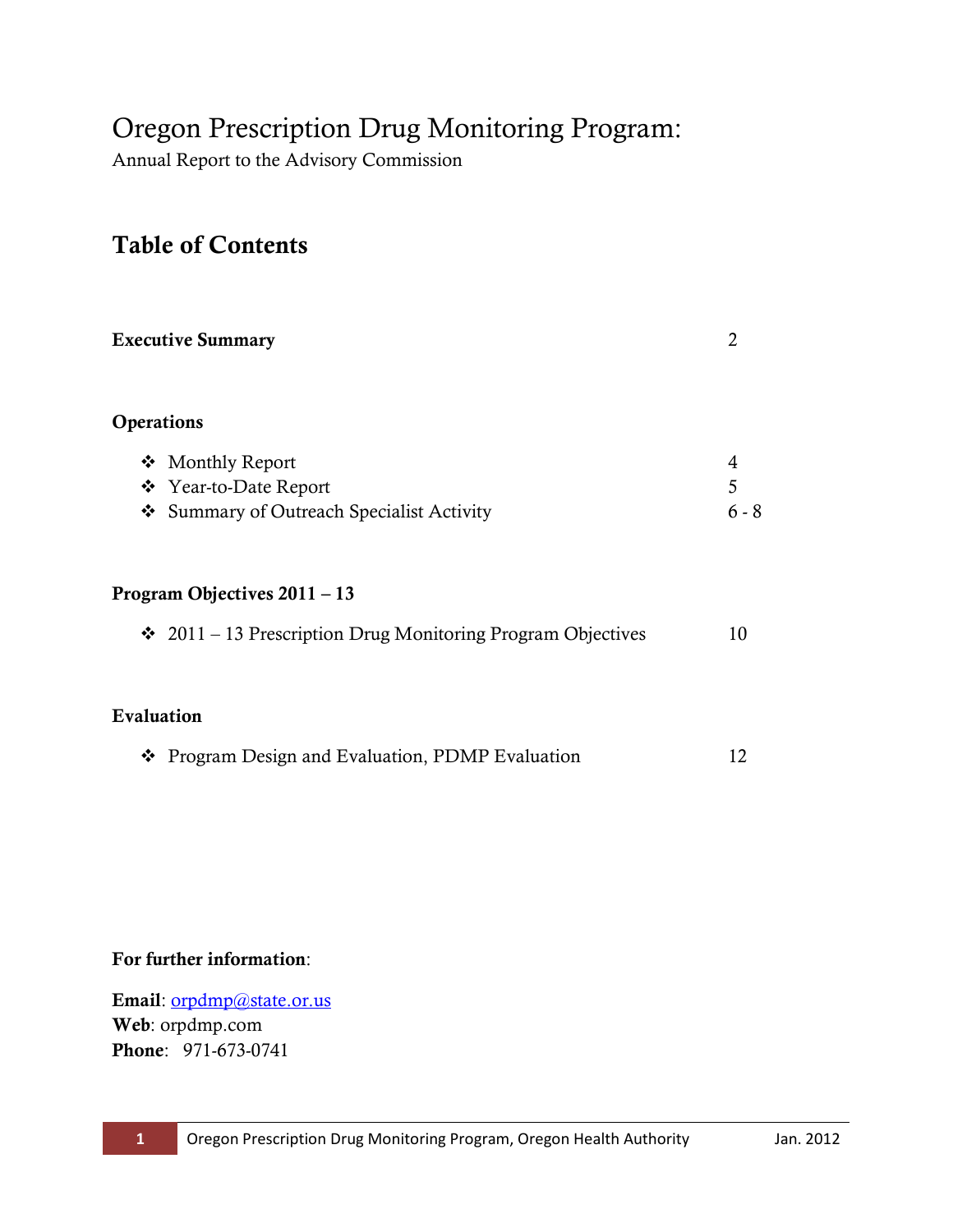# Oregon Prescription Drug Monitoring Program:

Annual Report to the Advisory Commission

# Table of Contents

| <b>Executive Summary</b>                                    |       |  |  |
|-------------------------------------------------------------|-------|--|--|
| Operations                                                  |       |  |  |
| ❖ Monthly Report                                            | 4     |  |  |
| ❖ Year-to-Date Report                                       | 5     |  |  |
| ❖ Summary of Outreach Specialist Activity                   | 6 - 8 |  |  |
|                                                             |       |  |  |
| Program Objectives $2011 - 13$                              |       |  |  |
| ❖ 2011 - 13 Prescription Drug Monitoring Program Objectives | 10    |  |  |
| Evaluation                                                  |       |  |  |

|  | ❖ Program Design and Evaluation, PDMP Evaluation |  | 12 |  |
|--|--------------------------------------------------|--|----|--|
|--|--------------------------------------------------|--|----|--|

#### For further information:

Email: [orpdmp@state.or.us](mailto:orpdmp@state.or.us)  Web: orpdmp.com Phone: 971-673-0741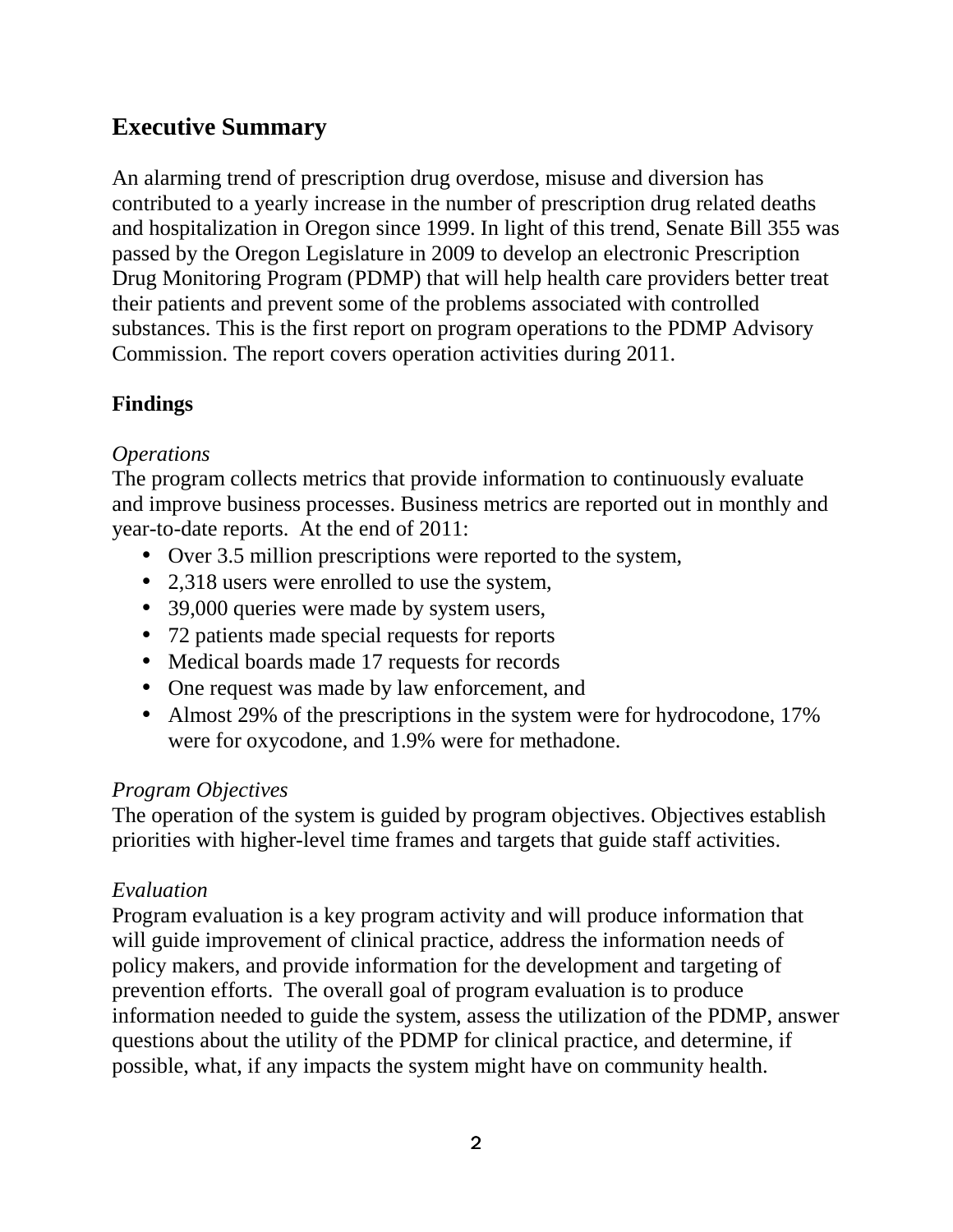# **Executive Summary**

An alarming trend of prescription drug overdose, misuse and diversion has contributed to a yearly increase in the number of prescription drug related deaths and hospitalization in Oregon since 1999. In light of this trend, Senate Bill 355 was passed by the Oregon Legislature in 2009 to develop an electronic Prescription Drug Monitoring Program (PDMP) that will help health care providers better treat their patients and prevent some of the problems associated with controlled substances. This is the first report on program operations to the PDMP Advisory Commission. The report covers operation activities during 2011.

## **Findings**

## *Operations*

The program collects metrics that provide information to continuously evaluate and improve business processes. Business metrics are reported out in monthly and year-to-date reports. At the end of 2011:

- Over 3.5 million prescriptions were reported to the system,
- 2,318 users were enrolled to use the system,
- 39,000 queries were made by system users,
- 72 patients made special requests for reports
- Medical boards made 17 requests for records
- One request was made by law enforcement, and
- Almost 29% of the prescriptions in the system were for hydrocodone, 17% were for oxycodone, and 1.9% were for methadone.

## *Program Objectives*

The operation of the system is guided by program objectives. Objectives establish priorities with higher-level time frames and targets that guide staff activities.

## *Evaluation*

Program evaluation is a key program activity and will produce information that will guide improvement of clinical practice, address the information needs of policy makers, and provide information for the development and targeting of prevention efforts. The overall goal of program evaluation is to produce information needed to guide the system, assess the utilization of the PDMP, answer questions about the utility of the PDMP for clinical practice, and determine, if possible, what, if any impacts the system might have on community health.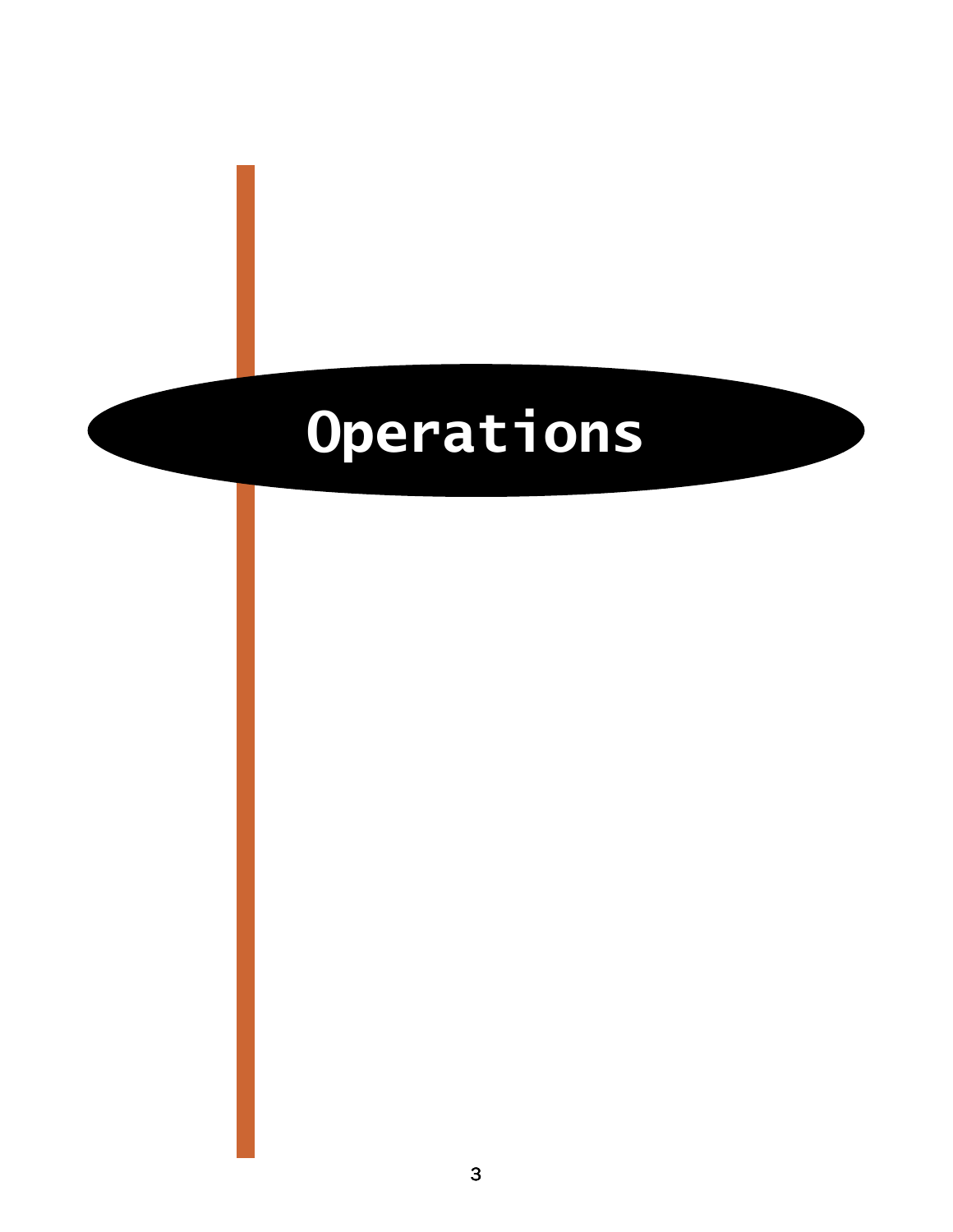# Operations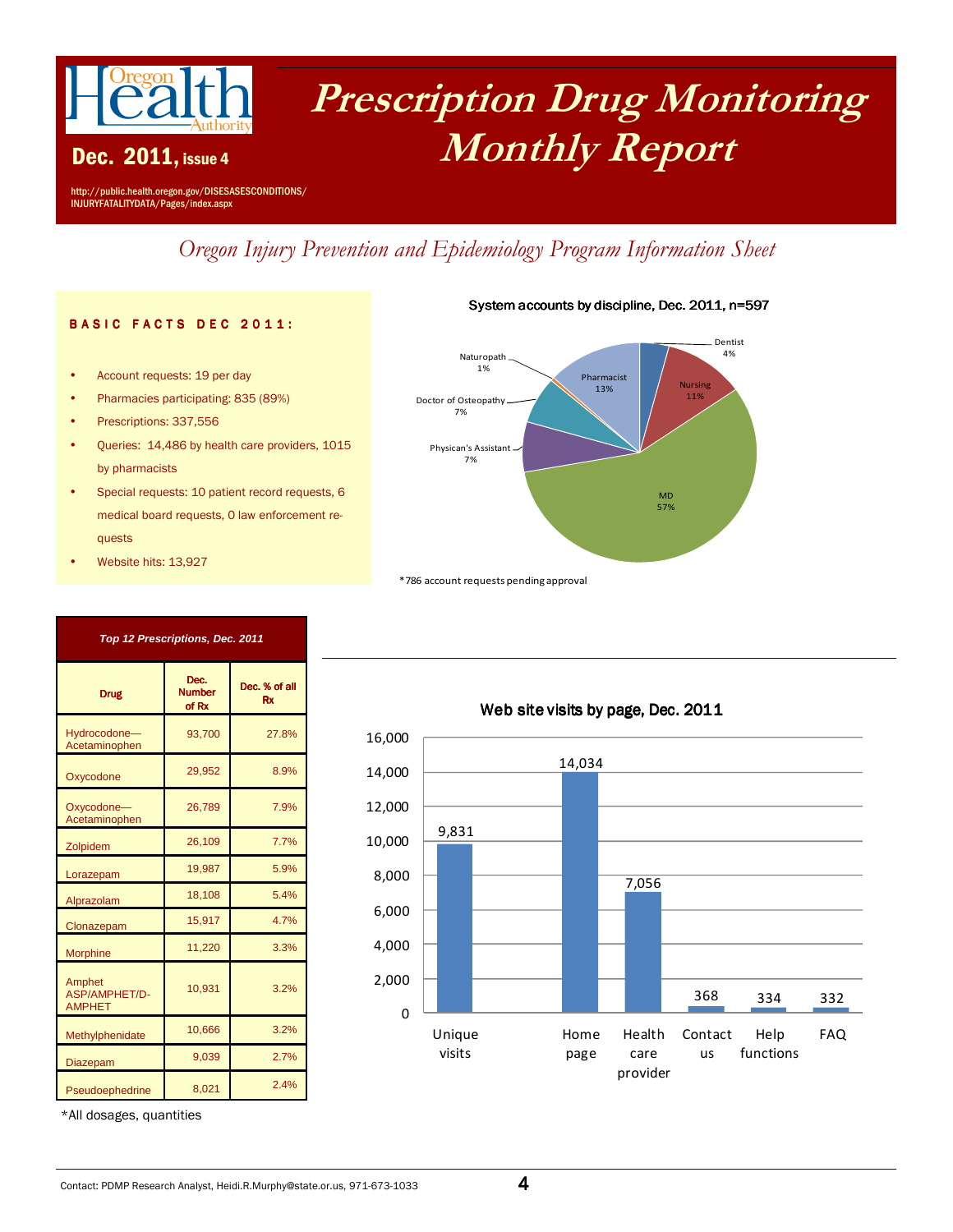

Dec. 2011, issue 4

# Prescription Drug Monitoring Monthly Report

System accounts by discipline, Dec. 2011, n=597

http://public.health.oregon.gov/DISESASESCONDITIONS/ INJURYFATALITYDATA/Pages/index.aspx

# Oregon Injury Prevention and Epidemiology Program Information Sheet

#### **BASIC FACTS DEC 2011:**

- Account requests: 19 per day
- Pharmacies participating: 835 (89%)
- Prescriptions: 337,556
- Queries: 14,486 by health care providers, 1015 by pharmacists
- Special requests: 10 patient record requests, 6 medical board requests, 0 law enforcement requests

**Top 12 Prescriptions, Dec. 2011**

Dec. Number of Rx

93,700

26,789

• Website hits: 13,927

Drug

Hydrocodone— **Acetaminopher** 

Oxycodone— **Acetaminophen** 

Amphet ASP/AMPHET/D-AMPHET

Oxycodone 29,952

Zolpidem 26,109 Lorazepam 19,987 Alprazolam 18,108 Clonazepam 15,917 Morphine 11,220

| Naturopath<br>1%<br>Doctor of Osteopathy.<br>7%<br>Physican's Assistant -<br>7% | Pharmacist<br>13% | <b>Nursing</b><br>11% | Dentist<br>4% |
|---------------------------------------------------------------------------------|-------------------|-----------------------|---------------|
|                                                                                 |                   | <b>MD</b><br>57%      |               |

\*786 account requests pending approval



#### Web site visits by page, Dec. 2011

\*All dosages, quantities

Methylphenidate 10,666 Diazepam 9,039

Pseudoephedrine 8,021 2.4%

#### Contact: PDMP Research Analyst, Heidi.R.Murphy@state.or.us, 971-673-1033  $\overline{\bf 4}$

10,931 3.2%

> 3.2% 2.7%

Dec. % of all Rx

27.8%

8.9%

7.9%

7.7% 5.9% 5.4% 4.7% 3.3%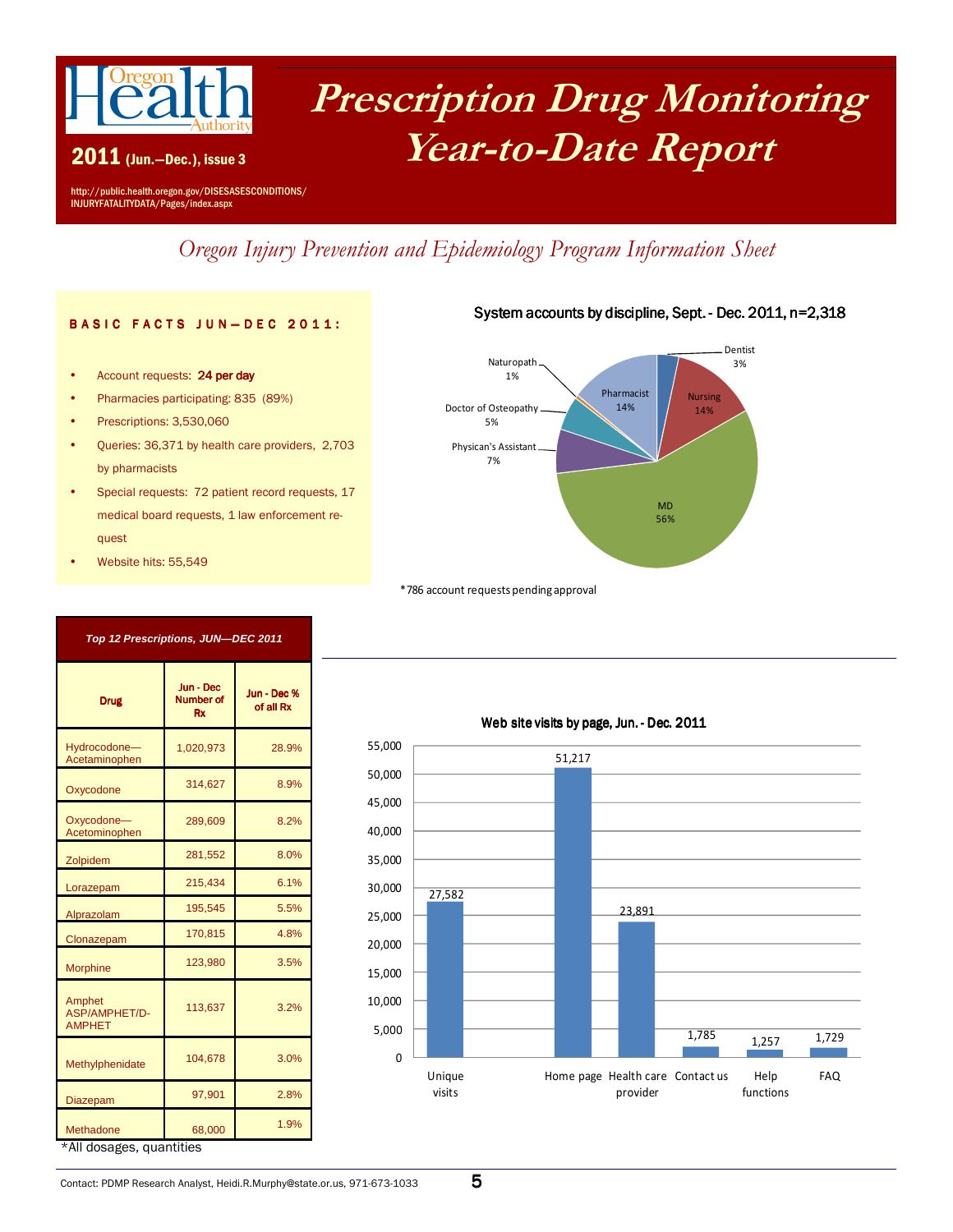

2011 (Jun.—Dec.), issue 3

# Prescription Drug Monitoring Year-to-Date Report

http://public.health.oregon.gov/DISESASESCONDITIONS/ INJURYFATALITYDATA/Pages/index.aspx

Oregon Injury Prevention and Epidemiology Program Information Sheet

#### **BASIC FACTS JUN-DEC 2011:**

- Account requests: 24 per day
- Pharmacies participating: 835 (89%)
- Prescriptions: 3,530,060
- Queries: 36,371 by health care providers, 2,703 by pharmacists
- Special requests: 72 patient record requests, 17 medical board requests, 1 law enforcement request

**Top 12 Prescriptions, JUN—DEC 2011** 

Jun -Dec Number of Rx

Jun -Dec % of all Rx

28.9%

8.9%

8.2%

8.0% 6.1% 5.5% 4.8% 3.5%

3.2%

3.0%

2.8%

1,020,973

289,609

113,637

• Website hits: 55,549

Drug

Oxycodone 314,627

Zolpidem 281,552 Lorazepam 215,434 Alprazolam 195,545 Clonazepam 170,815 Morphine 123,980

Hydrocodone— Acetaminophen

Oxycodone— Acetominophen

Amphet ASP/AMPHET/D-AMPHET

| Naturopath            | Dentist          |
|-----------------------|------------------|
| 1%                    | 3%               |
| Doctor of Osteopathy. | Pharmacist       |
| 5%                    | <b>Nursing</b>   |
| Physican's Assistant  | 14%              |
| 7%                    | 14%              |
|                       | <b>MD</b><br>56% |

\*786 account requests pending approval



\*All dosages, quantities

Methylphenidate 104,678

Diazepam 97,901

Methadone 68,000 1.9%

## Contact: PDMP Research Analyst, Heidi.R.Murphy@state.or.us, 971-673-1033  $\,$

#### System accounts by discipline, Sept. - Dec. 2011, n=2,318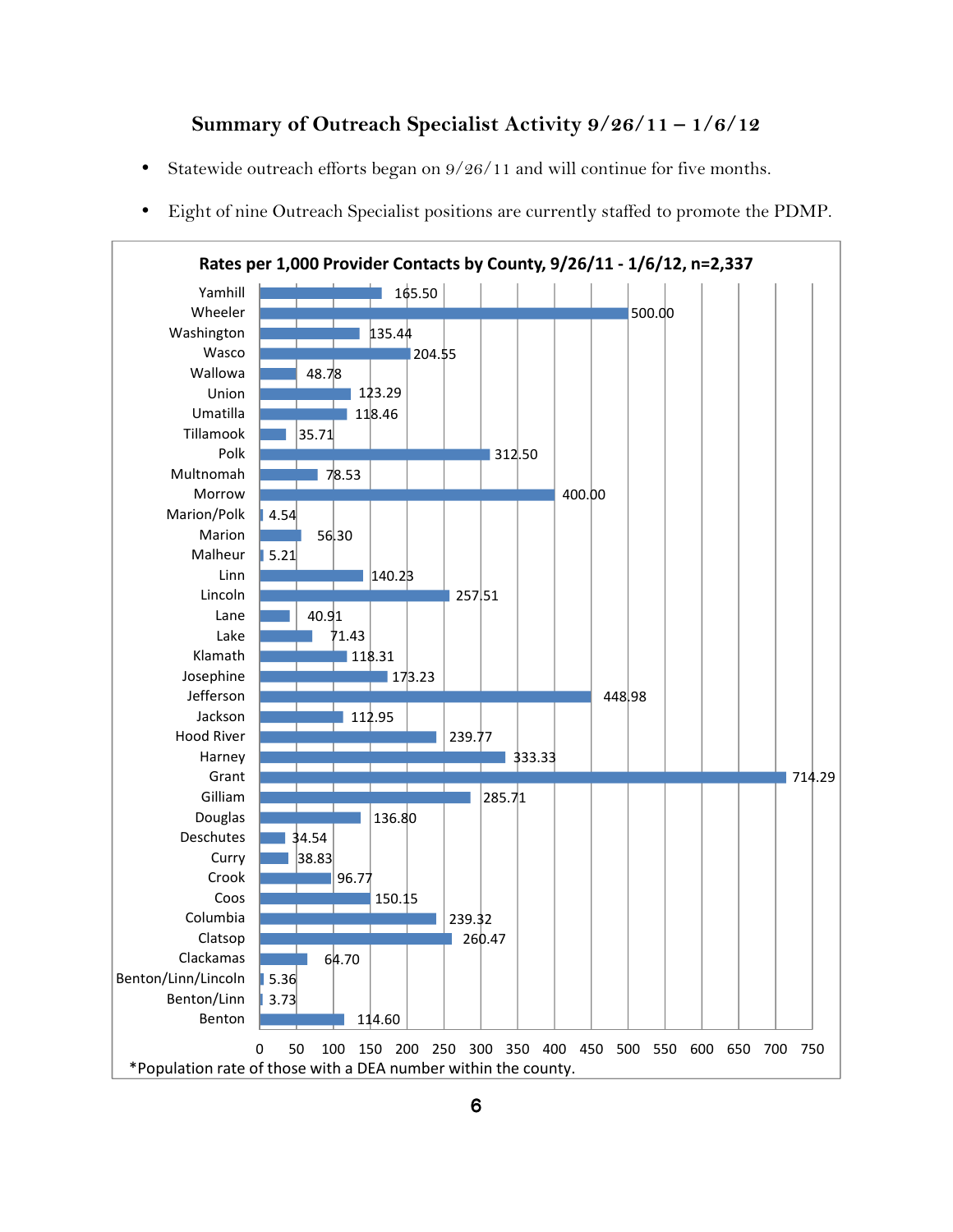#### Summary of Outreach Specialist Activity 9/26/11 – 1/6/12

- Statewide outreach efforts began on  $9/26/11$  and will continue for five months.
- Eight of nine Outreach Specialist positions are currently staffed to promote the PDMP.

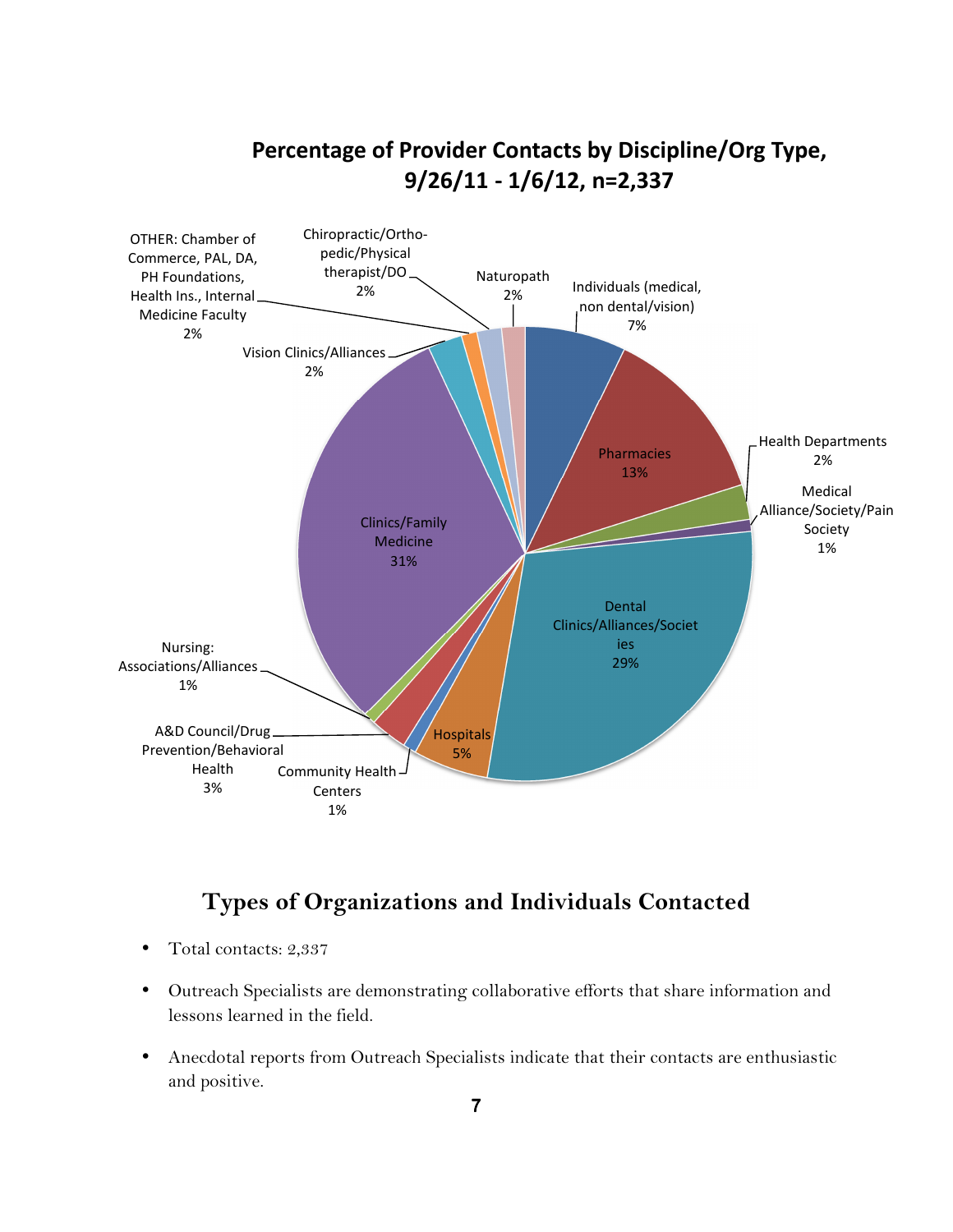# Chiropractic/Ortho-Percentage of Provider Contacts by Discipline/Org Type, 9/26/11 - 1/6/12, n=2,337



# Types of Organizations and Individuals Contacted

- Total contacts: 2,337
- Outreach Specialists are demonstrating collaborative efforts that share information and lessons learned in the field.
- Anecdotal reports from Outreach Specialists indicate that their contacts are enthusiastic and positive.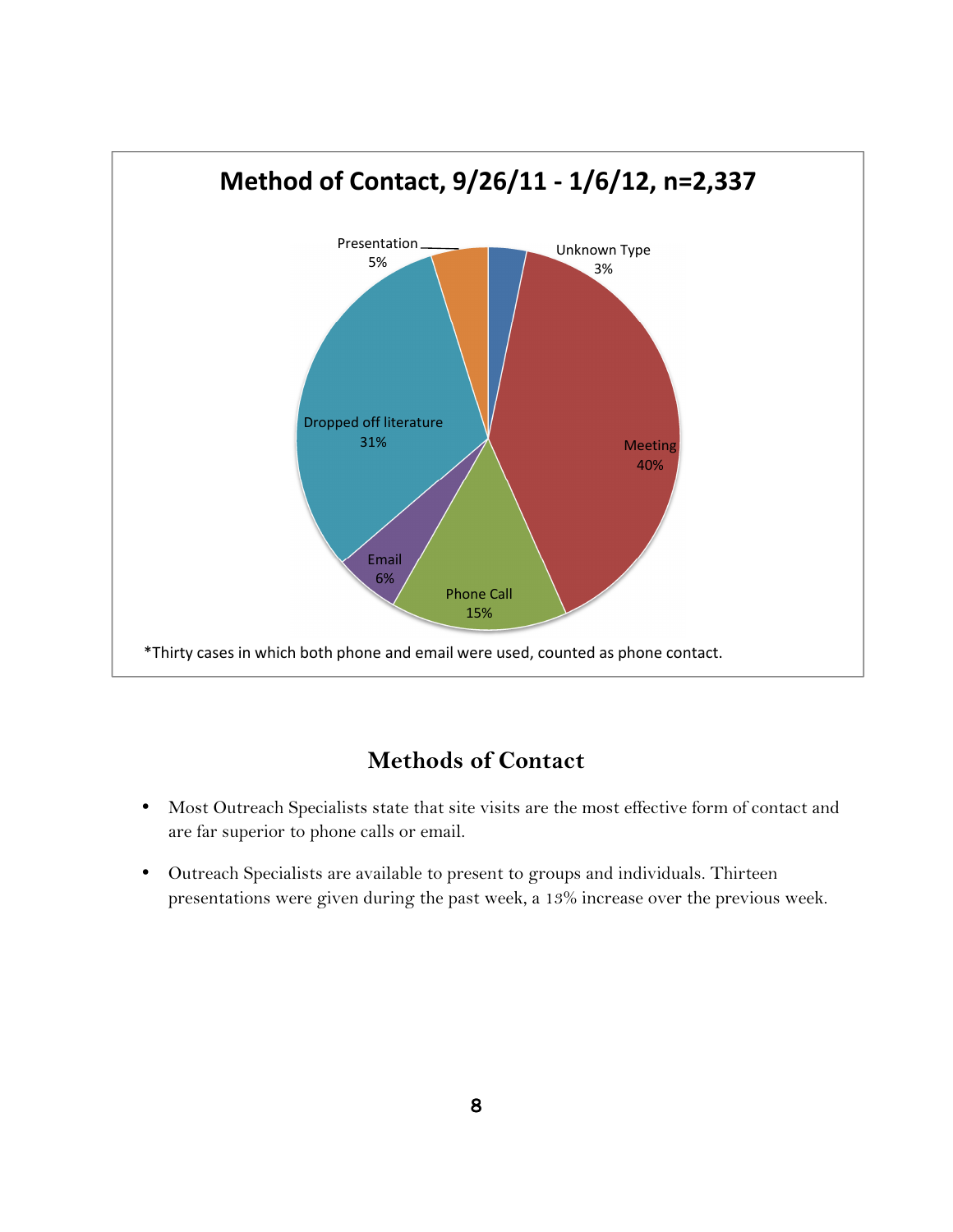

## Methods of Contact

- Most Outreach Specialists state that site visits are the most effective form of contact and are far superior to phone calls or email.
- Outreach Specialists are available to present to groups and individuals. Thirteen presentations were given during the past week, a 13% increase over the previous week.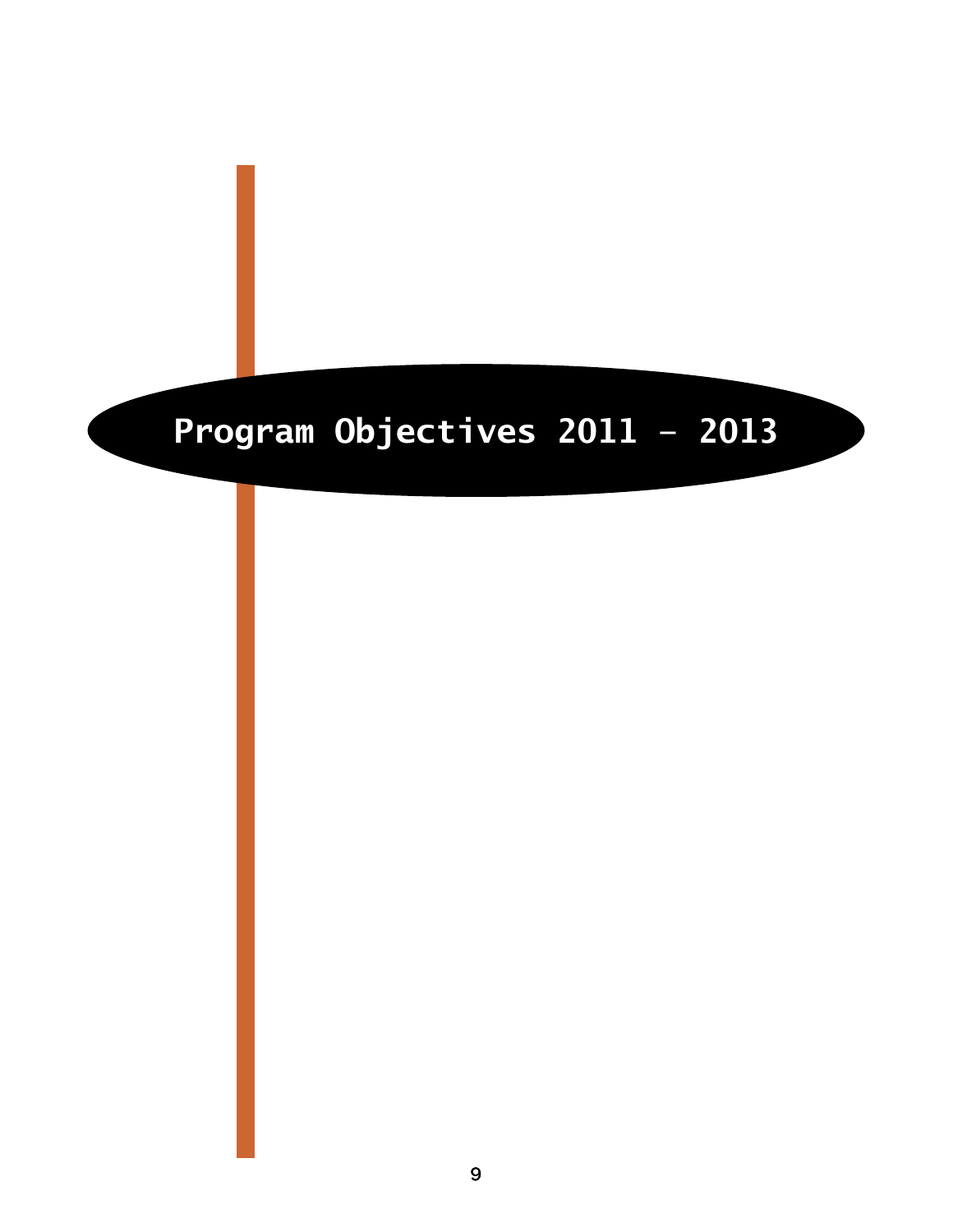# Program Objectives 2011 – 2013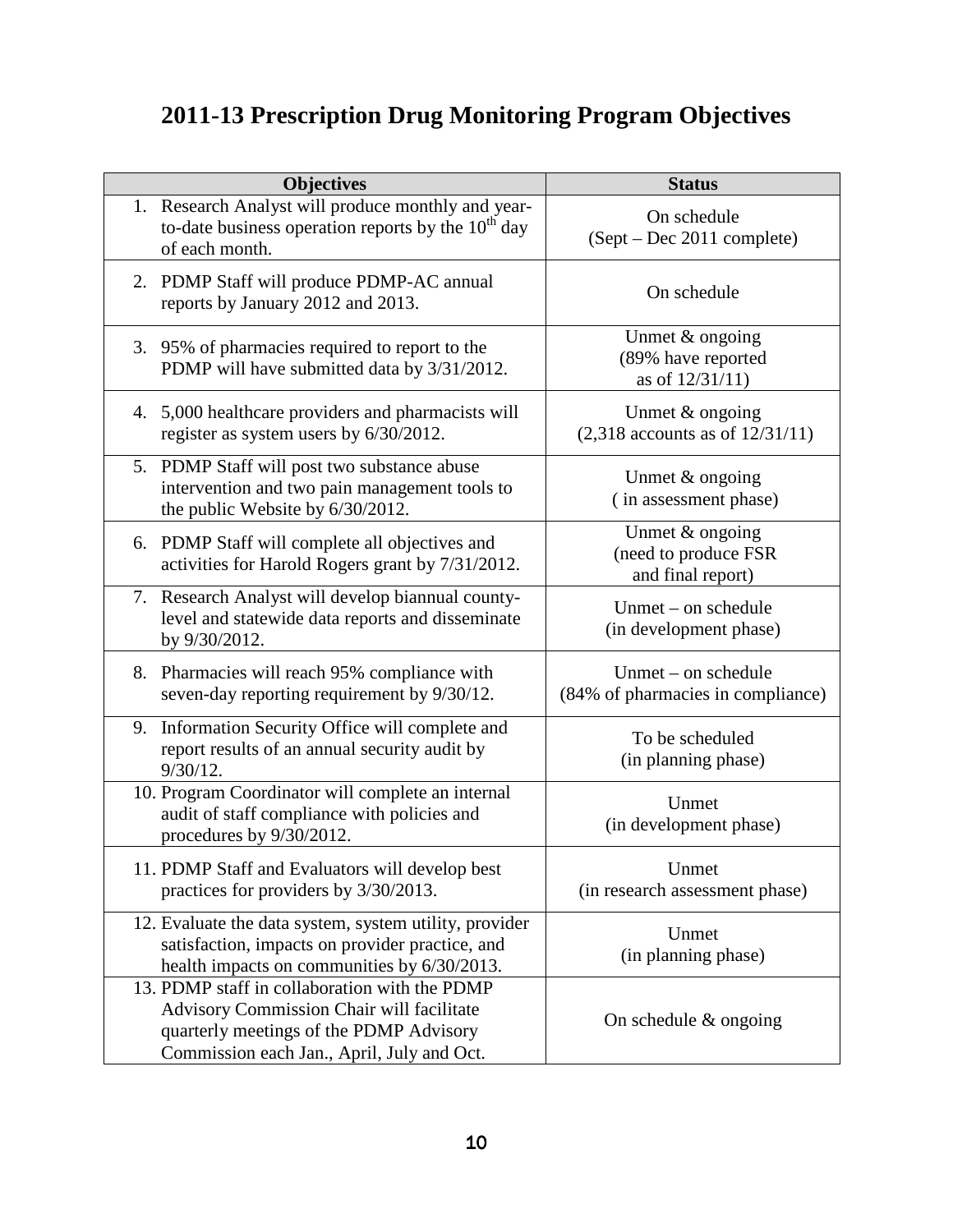# **2011-13 Prescription Drug Monitoring Program Objectives**

| <b>Objectives</b>                                                                                                                                                                   | <b>Status</b>                                                |
|-------------------------------------------------------------------------------------------------------------------------------------------------------------------------------------|--------------------------------------------------------------|
| 1. Research Analyst will produce monthly and year-<br>to-date business operation reports by the $10th$ day<br>of each month.                                                        | On schedule<br>(Sept – Dec 2011 complete)                    |
| 2. PDMP Staff will produce PDMP-AC annual<br>reports by January 2012 and 2013.                                                                                                      | On schedule                                                  |
| 3. 95% of pharmacies required to report to the<br>PDMP will have submitted data by 3/31/2012.                                                                                       | Unmet & ongoing<br>(89% have reported<br>as of 12/31/11)     |
| 4. 5,000 healthcare providers and pharmacists will<br>register as system users by 6/30/2012.                                                                                        | Unmet $&$ ongoing<br>$(2,318$ accounts as of $12/31/11$ )    |
| 5. PDMP Staff will post two substance abuse<br>intervention and two pain management tools to<br>the public Website by 6/30/2012.                                                    | Unmet $&$ ongoing<br>(in assessment phase)                   |
| 6. PDMP Staff will complete all objectives and<br>activities for Harold Rogers grant by 7/31/2012.                                                                                  | Unmet & ongoing<br>(need to produce FSR<br>and final report) |
| 7. Research Analyst will develop biannual county-<br>level and statewide data reports and disseminate<br>by 9/30/2012.                                                              | Unmet – on schedule<br>(in development phase)                |
| 8. Pharmacies will reach 95% compliance with<br>seven-day reporting requirement by 9/30/12.                                                                                         | Unmet – on schedule<br>(84% of pharmacies in compliance)     |
| 9. Information Security Office will complete and<br>report results of an annual security audit by<br>$9/30/12$ .                                                                    | To be scheduled<br>(in planning phase)                       |
| 10. Program Coordinator will complete an internal<br>audit of staff compliance with policies and<br>procedures by 9/30/2012.                                                        | Unmet<br>(in development phase)                              |
| 11. PDMP Staff and Evaluators will develop best<br>practices for providers by $3/30/2013$ .                                                                                         | Unmet<br>(in research assessment phase)                      |
| 12. Evaluate the data system, system utility, provider<br>satisfaction, impacts on provider practice, and<br>health impacts on communities by 6/30/2013.                            | Unmet<br>(in planning phase)                                 |
| 13. PDMP staff in collaboration with the PDMP<br>Advisory Commission Chair will facilitate<br>quarterly meetings of the PDMP Advisory<br>Commission each Jan., April, July and Oct. | On schedule $&$ ongoing                                      |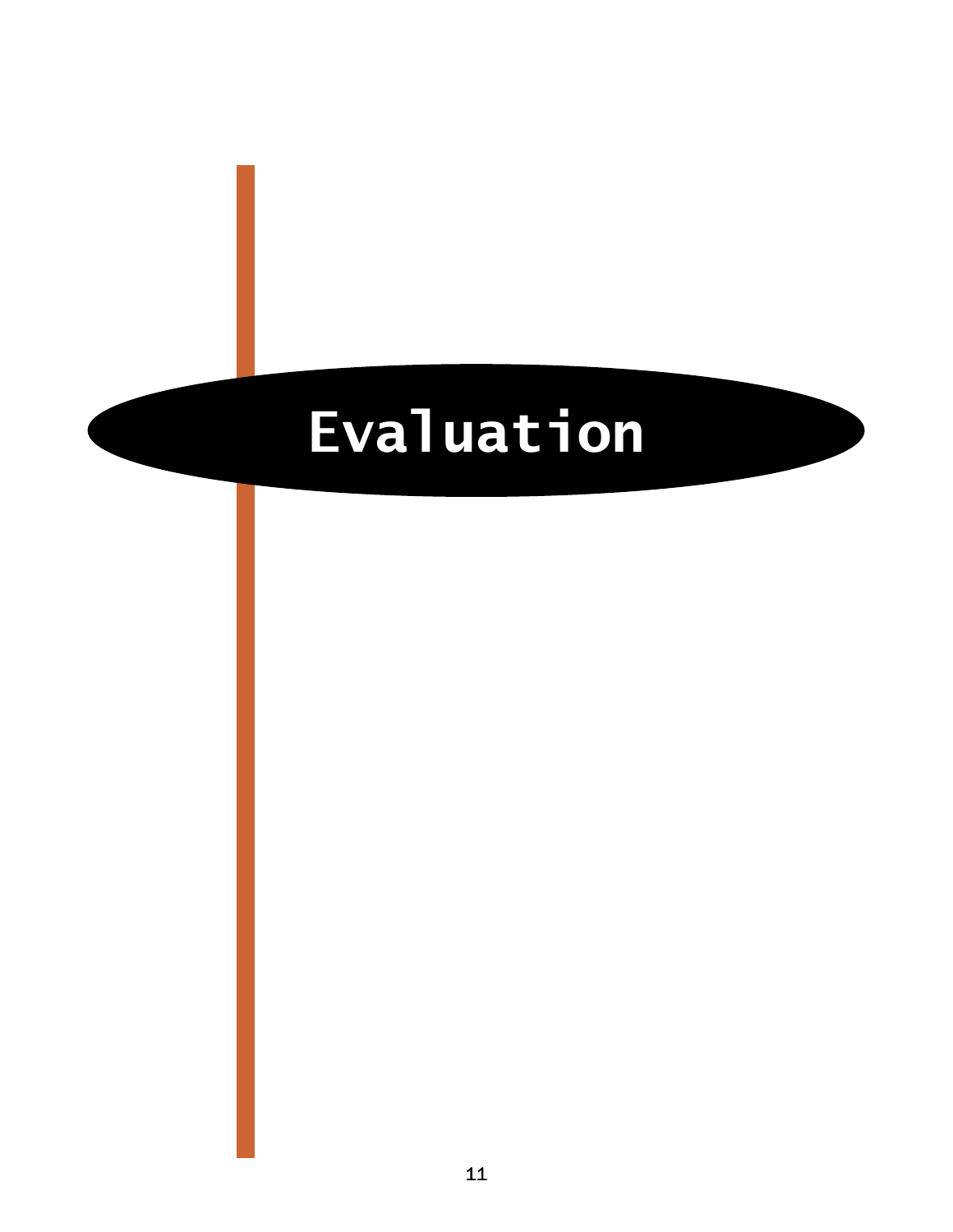# Evaluation